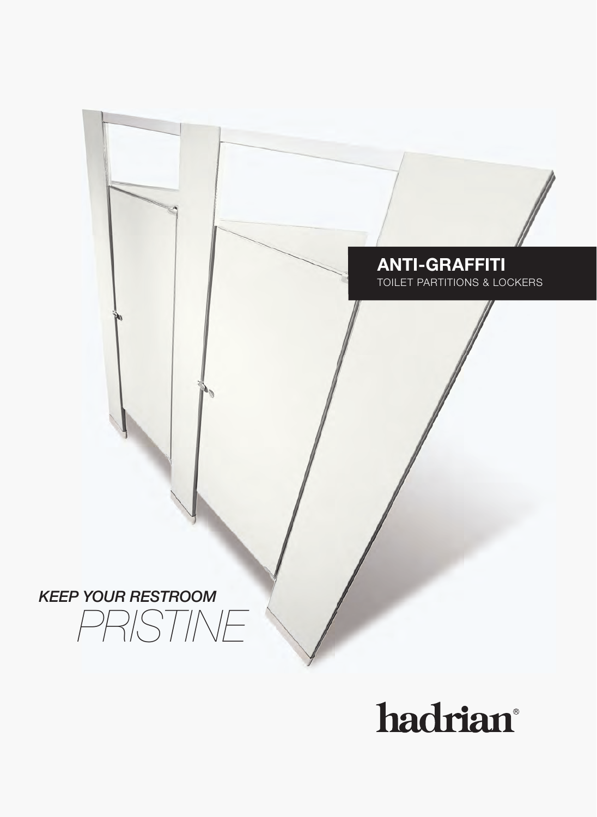### **ANTI-GRAFFITI ANTI-GRAFFITI**

TOILET PARTITIONS & LOCKERS TOILET PARTITIONS & LOCKERS

*KEEP YOUR RESTROOM KEEP YOUR RESTROOM PRISTINE PRISTINE*

## hadrian®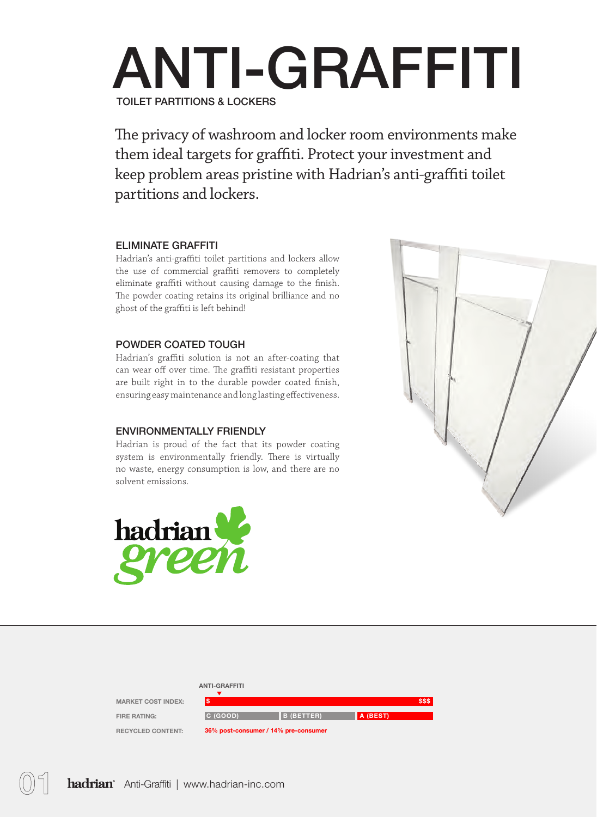## ANTI-GRAFFITI TOILET PARTITIONS & LOCKERS

The privacy of washroom and locker room environments make them ideal targets for graffiti. Protect your investment and keep problem areas pristine with Hadrian's anti-graffiti toilet partitions and lockers.

#### ELIMINATE GRAFFITI

Hadrian's anti-graffiti toilet partitions and lockers allow the use of commercial graffiti removers to completely eliminate graffiti without causing damage to the finish. The powder coating retains its original brilliance and no ghost of the graffiti is left behind!

#### POWDER COATED TOUGH

Hadrian's graffiti solution is not an after-coating that can wear off over time. The graffiti resistant properties are built right in to the durable powder coated finish, ensuring easy maintenance and long lasting effectiveness.

#### ENVIRONMENTALLY FRIENDLY

Hadrian is proud of the fact that its powder coating system is environmentally friendly. There is virtually no waste, energy consumption is low, and there are no solvent emissions.





#### ANTI-GRAFFITI

MARKET COST INDEX: FIRE RATING: RECYCLED CONTENT:

| S                                    |                   |          |
|--------------------------------------|-------------------|----------|
| C (GOOD)                             | <b>B</b> (BETTER) | A (BEST) |
| 36% nost-consumer / 14% pre-consumer |                   |          |

\$\$\$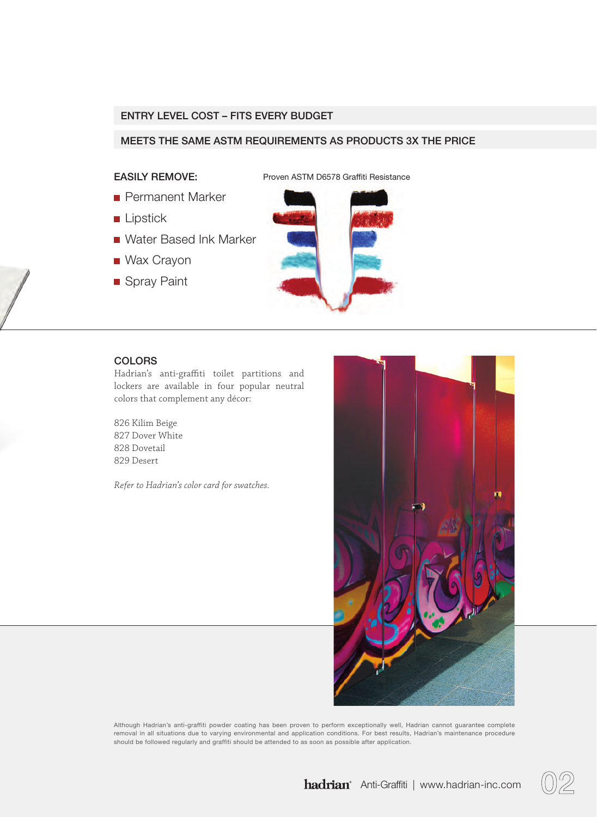#### ENTRY LEVEL COST – FITS EVERY BUDGET

#### MEETS THE SAME ASTM REQUIREMENTS AS PRODUCTS 3X THE PRICE

#### EASILY REMOVE:

Proven ASTM D6578 Graffiti Resistance

- **Permanent Marker**
- **Lipstick**
- Water Based Ink Marker
- Wax Crayon
- Spray Paint



#### **COLORS**

Hadrian's anti-graffiti toilet partitions and lockers are available in four popular neutral colors that complement any décor:

826 Kilim Beige 827 Dover White 828 Dovetail 829 Desert

*Refer to Hadrian's color card for swatches.*



Although Hadrian's anti-graffiti powder coating has been proven to perform exceptionally well, Hadrian cannot guarantee complete removal in all situations due to varying environmental and application conditions. For best results, Hadrian's maintenance procedure should be followed regularly and graffiti should be attended to as soon as possible after application.